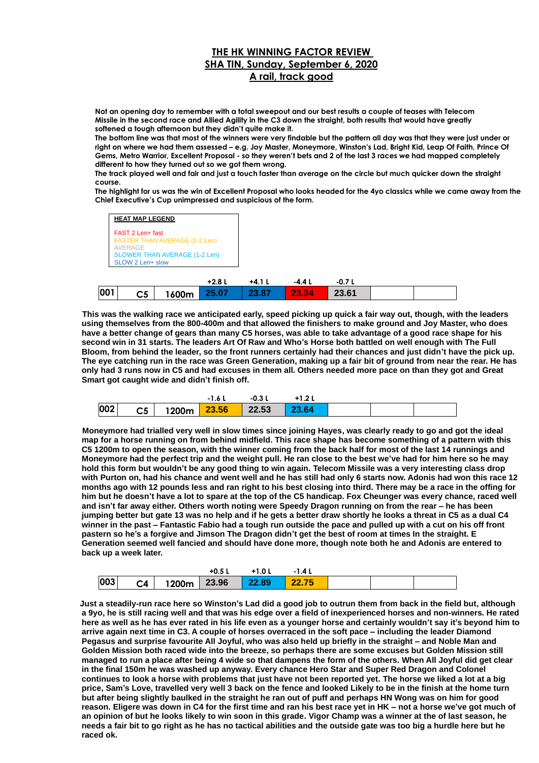## **THE HK WINNING FACTOR REVIEW SHA TIN, Sunday, September 6, 2020 A rail, track good**

**Not an opening day to remember with a total sweepout and our best results a couple of teases with Telecom Missile in the second race and Allied Agility in the C3 down the straight, both results that would have greatly softened a tough afternoon but they didn't quite make it.**

**The bottom line was that most of the winners were very findable but the pattern all day was that they were just under or right on where we had them assessed – e.g. Joy Master, Moneymore, Winston's Lad, Bright Kid, Leap Of Faith, Prince Of Gems, Metro Warrior, Excellent Proposal - so they weren't bets and 2 of the last 3 races we had mapped completely different to how they turned out so we got them wrong.**

**The track played well and fair and just a touch faster than average on the circle but much quicker down the straight course.**

**The highlight for us was the win of Excellent Proposal who looks headed for the 4yo classics while we came away from the Chief Executive's Cup unimpressed and suspicious of the form.**



 **This was the walking race we anticipated early, speed picking up quick a fair way out, though, with the leaders using themselves from the 800-400m and that allowed the finishers to make ground and Joy Master, who does have a better change of gears than many C5 horses, was able to take advantage of a good race shape for his second win in 31 starts. The leaders Art Of Raw and Who's Horse both battled on well enough with The Full Bloom, from behind the leader, so the front runners certainly had their chances and just didn't have the pick up. The eye catching run in the race was Green Generation, making up a fair bit of ground from near the rear. He has only had 3 runs now in C5 and had excuses in them all. Others needed more pace on than they got and Great Smart got caught wide and didn't finish off.**



 **Moneymore had trialled very well in slow times since joining Hayes, was clearly ready to go and got the ideal map for a horse running on from behind midfield. This race shape has become something of a pattern with this C5 1200m to open the season, with the winner coming from the back half for most of the last 14 runnings and Moneymore had the perfect trip and the weight pull. He ran close to the best we've had for him here so he may hold this form but wouldn't be any good thing to win again. Telecom Missile was a very interesting class drop with Purton on, had his chance and went well and he has still had only 6 starts now. Adonis had won this race 12 months ago with 12 pounds less and ran right to his best closing into third. There may be a race in the offing for him but he doesn't have a lot to spare at the top of the C5 handicap. Fox Cheunger was every chance, raced well and isn't far away either. Others worth noting were Speedy Dragon running on from the rear – he has been jumping better but gate 13 was no help and if he gets a better draw shortly he looks a threat in C5 as a dual C4 winner in the past – Fantastic Fabio had a tough run outside the pace and pulled up with a cut on his off front pastern so he's a forgive and Jimson The Dragon didn't get the best of room at times In the straight. E Generation seemed well fancied and should have done more, though note both he and Adonis are entered to back up a week later.**

|     |                                      | $+0.5L$ | $+1.0 L$ | $-1.4L$ |  |  |
|-----|--------------------------------------|---------|----------|---------|--|--|
| 003 | $C4$   1200m   23.96   22.89   22.75 |         |          |         |  |  |

**Just a steadily-run race here so Winston's Lad did a good job to outrun them from back in the field but, although a 9yo, he is still racing well and that was his edge over a field of inexperienced horses and non-winners. He rated here as well as he has ever rated in his life even as a younger horse and certainly wouldn't say it's beyond him to arrive again next time in C3. A couple of horses overraced in the soft pace – including the leader Diamond Pegasus and surprise favourite All Joyful, who was also held up briefly in the straight – and Noble Man and Golden Mission both raced wide into the breeze, so perhaps there are some excuses but Golden Mission still managed to run a place after being 4 wide so that dampens the form of the others. When All Joyful did get clear in the final 150m he was washed up anyway. Every chance Hero Star and Super Red Dragon and Colonel continues to look a horse with problems that just have not been reported yet. The horse we liked a lot at a big price, Sam's Love, travelled very well 3 back on the fence and looked Likely to be in the finish at the home turn but after being slightly baulked in the straight he ran out of puff and perhaps HN Wong was on him for good reason. Eligere was down in C4 for the first time and ran his best race yet in HK – not a horse we've got much of an opinion of but he looks likely to win soon in this grade. Vigor Champ was a winner at the of last season, he needs a fair bit to go right as he has no tactical abilities and the outside gate was too big a hurdle here but he raced ok.**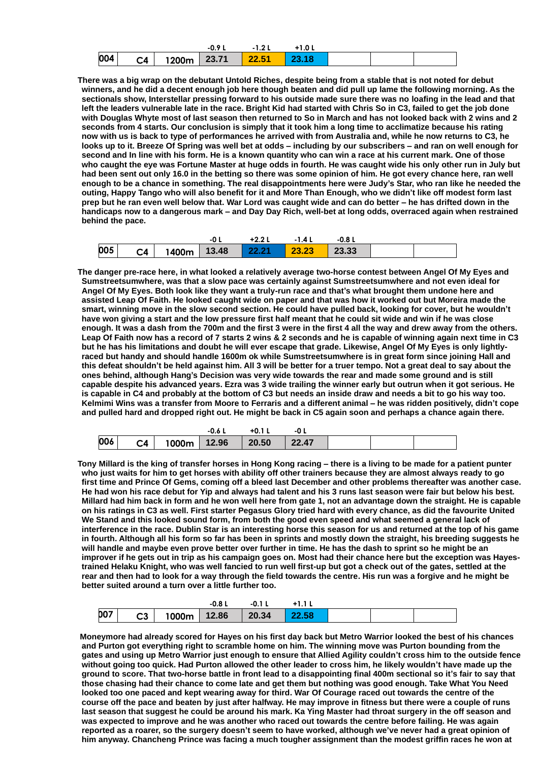|     |    |       | $-0.9$ | 1 O ' | $+1.0 L$ |  |  |
|-----|----|-------|--------|-------|----------|--|--|
| 004 | C4 | 1200m | 23.71  | 22.51 | 23.18    |  |  |

**There was a big wrap on the debutant Untold Riches, despite being from a stable that is not noted for debut winners, and he did a decent enough job here though beaten and did pull up lame the following morning. As the sectionals show, Interstellar pressing forward to his outside made sure there was no loafing in the lead and that left the leaders vulnerable late in the race. Bright Kid had started with Chris So in C3, failed to get the job done with Douglas Whyte most of last season then returned to So in March and has not looked back with 2 wins and 2 seconds from 4 starts. Our conclusion is simply that it took him a long time to acclimatize because his rating now with us is back to type of performances he arrived with from Australia and, while he now returns to C3, he looks up to it. Breeze Of Spring was well bet at odds – including by our subscribers – and ran on well enough for second and In line with his form. He is a known quantity who can win a race at his current mark. One of those who caught the eye was Fortune Master at huge odds in fourth. He was caught wide his only other run in July but had been sent out only 16.0 in the betting so there was some opinion of him. He got every chance here, ran well enough to be a chance in something. The real disappointments here were Judy's Star, who ran like he needed the outing, Happy Tango who will also benefit for it and More Than Enough, who we didn't like off modest form last prep but he ran even well below that. War Lord was caught wide and can do better – he has drifted down in the handicaps now to a dangerous mark – and Day Day Rich, well-bet at long odds, overraced again when restrained behind the pace.**

|     |                                  | $+2.21$ | $-1.4L$ | -0.8 L |  |
|-----|----------------------------------|---------|---------|--------|--|
| 005 | C4 1400m 13.48 22.21 23.23 23.33 |         |         |        |  |

**The danger pre-race here, in what looked a relatively average two-horse contest between Angel Of My Eyes and Sumstreetsumwhere, was that a slow pace was certainly against Sumstreetsumwhere and not even ideal for Angel Of My Eyes. Both look like they want a truly-run race and that's what brought them undone here and assisted Leap Of Faith. He looked caught wide on paper and that was how it worked out but Moreira made the smart, winning move in the slow second section. He could have pulled back, looking for cover, but he wouldn't have won giving a start and the low pressure first half meant that he could sit wide and win if he was close enough. It was a dash from the 700m and the first 3 were in the first 4 all the way and drew away from the others. Leap Of Faith now has a record of 7 starts 2 wins & 2 seconds and he is capable of winning again next time in C3 but he has his limitations and doubt he will ever escape that grade. Likewise, Angel Of My Eyes is only lightlyraced but handy and should handle 1600m ok while Sumstreetsumwhere is in great form since joining Hall and this defeat shouldn't be held against him. All 3 will be better for a truer tempo. Not a great deal to say about the ones behind, although Hang's Decision was very wide towards the rear and made some ground and is still capable despite his advanced years. Ezra was 3 wide trailing the winner early but outrun when it got serious. He is capable in C4 and probably at the bottom of C3 but needs an inside draw and needs a bit to go his way too. Kelmimi Wins was a transfer from Moore to Ferraris and a different animal – he was ridden positively, didn't cope and pulled hard and dropped right out. He might be back in C5 again soon and perhaps a chance again there.**

|     |    | -0.6              | $+0.11$ |       |  |  |
|-----|----|-------------------|---------|-------|--|--|
| 006 | C4 | 1000m 12.96 20.50 |         | 22.47 |  |  |

**Tony Millard is the king of transfer horses in Hong Kong racing – there is a living to be made for a patient punter who just waits for him to get horses with ability off other trainers because they are almost always ready to go first time and Prince Of Gems, coming off a bleed last December and other problems thereafter was another case. He had won his race debut for Yip and always had talent and his 3 runs last season were fair but below his best. Millard had him back in form and he won well here from gate 1, not an advantage down the straight. He is capable on his ratings in C3 as well. First starter Pegasus Glory tried hard with every chance, as did the favourite United We Stand and this looked sound form, from both the good even speed and what seemed a general lack of interference in the race. Dublin Star is an interesting horse this season for us and returned at the top of his game in fourth. Although all his form so far has been in sprints and mostly down the straight, his breeding suggests he will handle and maybe even prove better over further in time. He has the dash to sprint so he might be an improver if he gets out in trip as his campaign goes on. Most had their chance here but the exception was Hayestrained Helaku Knight, who was well fancied to run well first-up but got a check out of the gates, settled at the rear and then had to look for a way through the field towards the centre. His run was a forgive and he might be better suited around a turn over a little further too.**

|            |                                        | $-0.8L$ | -0.1 L |  |  |
|------------|----------------------------------------|---------|--------|--|--|
| <b>DO7</b> | $ $ C3   1000m   12.86   20.34   22.58 |         |        |  |  |

**Moneymore had already scored for Hayes on his first day back but Metro Warrior looked the best of his chances and Purton got everything right to scramble home on him. The winning move was Purton bounding from the gates and using up Metro Warrior just enough to ensure that Allied Agility couldn't cross him to the outside fence without going too quick. Had Purton allowed the other leader to cross him, he likely wouldn't have made up the ground to score. That two-horse battle in front lead to a disappointing final 400m sectional so it's fair to say that those chasing had their chance to come late and get them but nothing was good enough. Take What You Need looked too one paced and kept wearing away for third. War Of Courage raced out towards the centre of the course off the pace and beaten by just after halfway. He may improve in fitness but there were a couple of runs last season that suggest he could be around his mark. Ka Ying Master had throat surgery in the off season and was expected to improve and he was another who raced out towards the centre before failing. He was again reported as a roarer, so the surgery doesn't seem to have worked, although we've never had a great opinion of him anyway. Chancheng Prince was facing a much tougher assignment than the modest griffin races he won at**